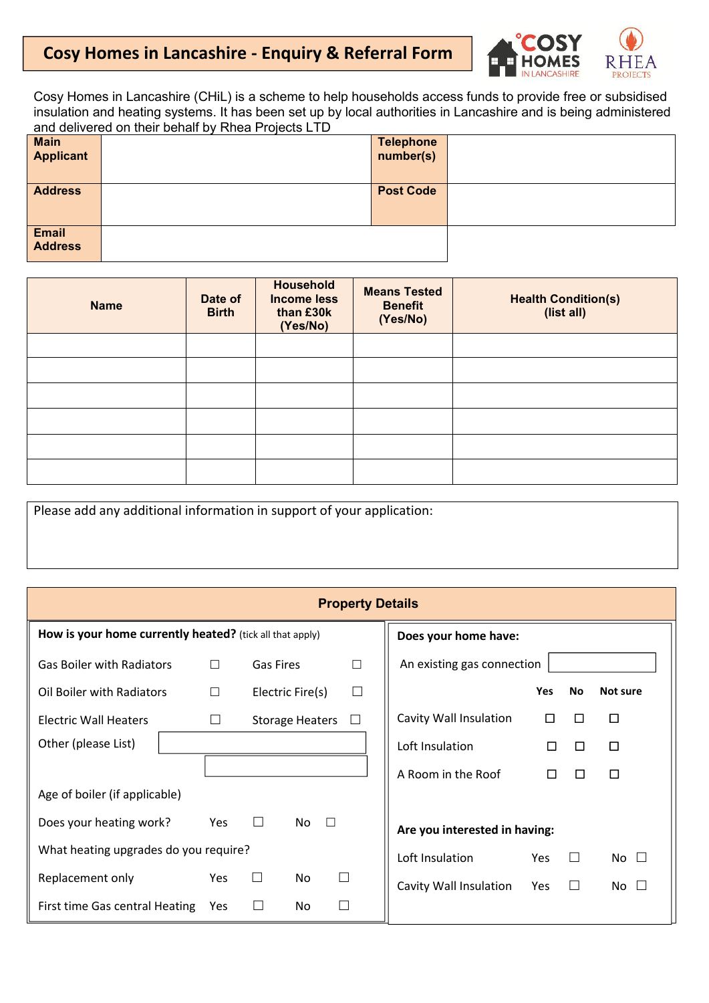## **Cosy Homes in Lancashire - Enquiry & Referral Form**



Cosy Homes in Lancashire (CHiL) is a scheme to help households access funds to provide free or subsidised insulation and heating systems. It has been set up by local authorities in Lancashire and is being administered and delivered on their behalf by Rhea Projects LTD

|                                 | . |                               |  |
|---------------------------------|---|-------------------------------|--|
| <b>Main</b><br><b>Applicant</b> |   | <b>Telephone</b><br>number(s) |  |
|                                 |   |                               |  |
| <b>Address</b>                  |   | <b>Post Code</b>              |  |
| <b>Email</b><br><b>Address</b>  |   |                               |  |

| <b>Name</b> | Date of<br><b>Birth</b> | <b>Household</b><br><b>Income less</b><br>than £30k<br>(Yes/No) | <b>Means Tested</b><br><b>Benefit</b><br>(Yes/No) | <b>Health Condition(s)</b><br>(list all) |
|-------------|-------------------------|-----------------------------------------------------------------|---------------------------------------------------|------------------------------------------|
|             |                         |                                                                 |                                                   |                                          |
|             |                         |                                                                 |                                                   |                                          |
|             |                         |                                                                 |                                                   |                                          |
|             |                         |                                                                 |                                                   |                                          |
|             |                         |                                                                 |                                                   |                                          |
|             |                         |                                                                 |                                                   |                                          |

Please add any additional information in support of your application:

| <b>Property Details</b>                                  |        |           |                        |                             |                               |        |        |              |
|----------------------------------------------------------|--------|-----------|------------------------|-----------------------------|-------------------------------|--------|--------|--------------|
| How is your home currently heated? (tick all that apply) |        |           |                        | Does your home have:        |                               |        |        |              |
| <b>Gas Boiler with Radiators</b>                         | $\Box$ | Gas Fires |                        | $\Box$                      | An existing gas connection    |        |        |              |
| Oil Boiler with Radiators                                | $\Box$ |           | Electric Fire(s)       | $\Box$                      |                               | Yes    | No     | Not sure     |
| <b>Electric Wall Heaters</b>                             | $\Box$ |           | Storage Heaters $\Box$ |                             | Cavity Wall Insulation        | $\Box$ | □      | $\Box$       |
| Other (please List)                                      |        |           |                        |                             | Loft Insulation               | □      | Ш      | $\Box$       |
|                                                          |        |           |                        |                             | A Room in the Roof            | □      | □      | $\Box$       |
| Age of boiler (if applicable)                            |        |           |                        |                             |                               |        |        |              |
| Does your heating work?                                  | Yes    | $\Box$    | No<br>$\Box$           |                             | Are you interested in having: |        |        |              |
| What heating upgrades do you require?                    |        |           |                        |                             | Loft Insulation               | Yes    | $\Box$ | No $\square$ |
| Replacement only                                         | Yes    | $\Box$    | No                     | $\Box$                      | Cavity Wall Insulation        | Yes    | $\Box$ | No $\square$ |
| First time Gas central Heating                           | Yes    | $\Box$    | No                     | $\mathcal{L}_{\mathcal{A}}$ |                               |        |        |              |